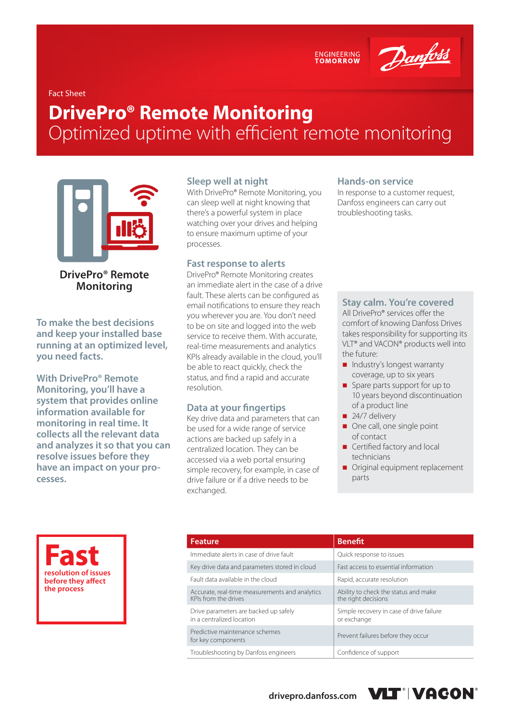ENGINEERING<br>TOMORROW

Danfoss

Fact Sheet

# **DrivePro® Remote Monitoring**  Optimized uptime with efficient remote monitoring



**DrivePro® Remote Monitoring**

**To make the best decisions and keep your installed base running at an optimized level, you need facts.**

**With DrivePro® Remote Monitoring, you'll have a system that provides online information available for monitoring in real time. It collects all the relevant data and analyzes it so that you can resolve issues before they have an impact on your processes.**

#### **Sleep well at night**

With DrivePro® Remote Monitoring, you can sleep well at night knowing that there's a powerful system in place watching over your drives and helping to ensure maximum uptime of your processes.

#### **Fast response to alerts**

DrivePro® Remote Monitoring creates an immediate alert in the case of a drive fault. These alerts can be configured as email notifications to ensure they reach you wherever you are. You don't need to be on site and logged into the web service to receive them. With accurate, real-time measurements and analytics KPIs already available in the cloud, you'll be able to react quickly, check the status, and find a rapid and accurate resolution.

### **Data at your fingertips**

Key drive data and parameters that can be used for a wide range of service actions are backed up safely in a centralized location. They can be accessed via a web portal ensuring simple recovery, for example, in case of drive failure or if a drive needs to be exchanged.

#### **Hands-on service**

In response to a customer request, Danfoss engineers can carry out troubleshooting tasks.

#### **Stay calm. You're covered**

All DrivePro® services offer the comfort of knowing Danfoss Drives takes responsibility for supporting its VLT® and VACON® products well into the future:

- Industry's longest warranty coverage, up to six years
- Spare parts support for up to 10 years beyond discontinuation of a product line
- $\blacksquare$  24/7 delivery
- One call, one single point of contact
- Certified factory and local technicians
- Original equipment replacement parts

**Fast resolution of issues before they affect the process**

| <b>Feature</b>                                                         | <b>Benefit</b>                                              |
|------------------------------------------------------------------------|-------------------------------------------------------------|
| Immediate alerts in case of drive fault                                | Quick response to issues                                    |
| Key drive data and parameters stored in cloud                          | Fast access to essential information                        |
| Fault data available in the cloud                                      | Rapid, accurate resolution                                  |
| Accurate, real-time measurements and analytics<br>KPIs from the drives | Ability to check the status and make<br>the right decisions |
| Drive parameters are backed up safely<br>in a centralized location     | Simple recovery in case of drive failure<br>or exchange     |
| Predictive maintenance schemes<br>for key components                   | Prevent failures before they occur                          |
| Troubleshooting by Danfoss engineers                                   | Confidence of support                                       |